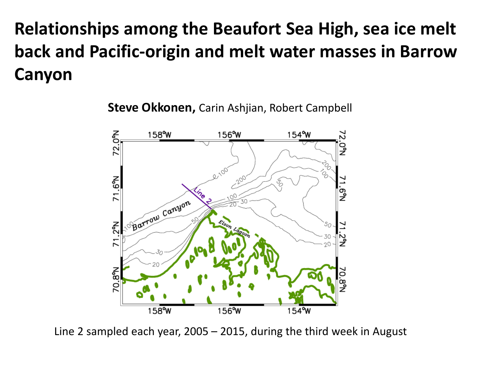# **Relationships among the Beaufort Sea High, sea ice melt back and Pacific-origin and melt water masses in Barrow Canyon**

72.0°N 158°W 156°W 154°W ن<br>گ N<sub>9</sub>9 თ<br>ა Barrow Canyon  $2^{\circ}$ `50 i<br>Z  $\overline{7}$ 70.8°N 70.8%  $158^{\circ}$ W  $156^{\circ}$ W  $154^{\circ}$ W

**Steve Okkonen,** Carin Ashjian, Robert Campbell

Line 2 sampled each year, 2005 – 2015, during the third week in August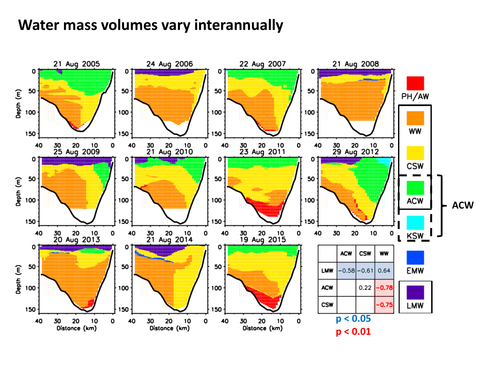### **Water mass volumes vary interannually**

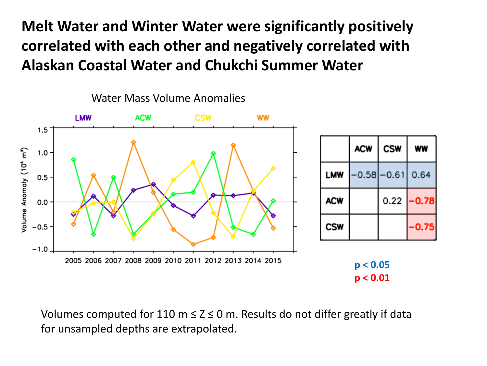**Melt Water and Winter Water were significantly positively correlated with each other and negatively correlated with Alaskan Coastal Water and Chukchi Summer Water**



Volumes computed for 110 m  $\leq$  Z  $\leq$  0 m. Results do not differ greatly if data for unsampled depths are extrapolated.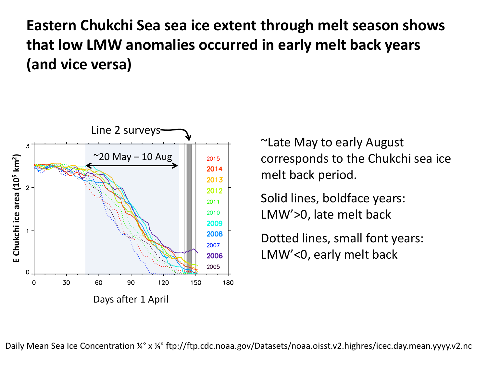**Eastern Chukchi Sea sea ice extent through melt season shows that low LMW anomalies occurred in early melt back years (and vice versa)**



~Late May to early August corresponds to the Chukchi sea ice melt back period.

Solid lines, boldface years: LMW'>0, late melt back

Dotted lines, small font years: LMW'<0, early melt back

Daily Mean Sea Ice Concentration ¼° x ¼° ftp://ftp.cdc.noaa.gov/Datasets/noaa.oisst.v2.highres/icec.day.mean.yyyy.v2.nc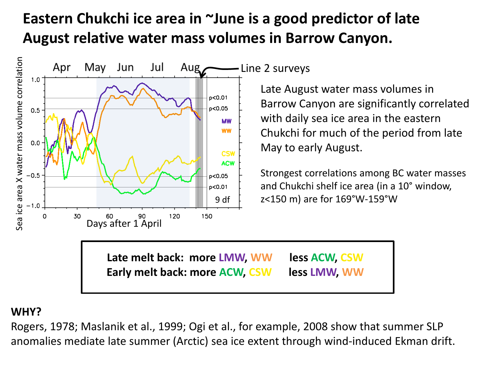## **Eastern Chukchi ice area in ~June is a good predictor of late August relative water mass volumes in Barrow Canyon.**



-Line 2 surveys

Late August water mass volumes in Barrow Canyon are significantly correlated with daily sea ice area in the eastern Chukchi for much of the period from late May to early August.

Strongest correlations among BC water masses and Chukchi shelf ice area (in a 10° window, z<150 m) are for 169°W-159°W

**Late melt back: more LMW, WW less ACW, CSW Early melt back: more ACW, CSW less LMW, WW**

#### **WHY?**

Rogers, 1978; Maslanik et al., 1999; Ogi et al., for example, 2008 show that summer SLP anomalies mediate late summer (Arctic) sea ice extent through wind-induced Ekman drift.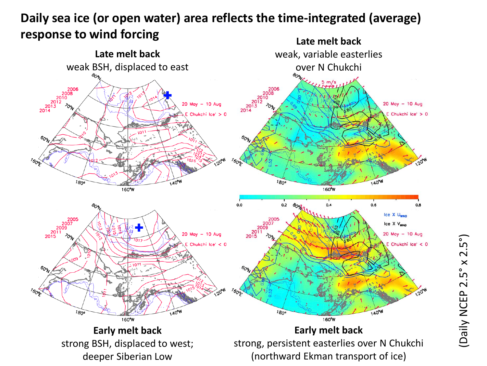#### **Late melt back Daily sea ice (or open water) area reflects the time-integrated (average) response to wind forcing**